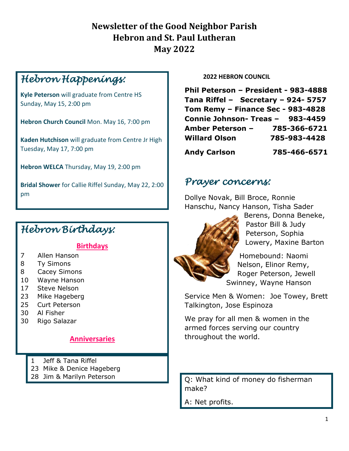#### **Newsletter of the Good Neighbor Parish Hebron and St. Paul Lutheran May 2022**

## *Hebron Happenings:*

**Kyle Peterson** will graduate from Centre HS Sunday, May 15, 2:00 pm

**Hebron Church Council** Mon. May 16, 7:00 pm

**Kaden Hutchison** will graduate from Centre Jr High Tuesday, May 17, 7:00 pm

**Hebron WELCA** Thursday, May 19, 2:00 pm

**Bridal Shower** for Callie Riffel Sunday, May 22, 2:00 pm

### *Hebron Birthdays:*

#### **Birthdays**

- 7 Allen Hanson
- 8 Ty Simons
- 8 Cacey Simons
- 10 Wayne Hanson
- 17 Steve Nelson
- 23 Mike Hageberg
- 25 Curt Peterson
- 30 Al Fisher
- 30 Rigo Salazar

#### **Anniversaries**

- 1 Jeff & Tana Riffel
- 23 Mike & Denice Hageberg
- 28 Jim & Marilyn Peterson

**2022 HEBRON COUNCIL**

**Phil Peterson – President - 983-4888 Tana Riffel – Secretary – 924- 5757 Tom Remy – Finance Sec - 983-4828 Connie Johnson- Treas – 983-4459 Amber Peterson – 785-366-6721** **Willard Olson****785-983-4428 Andy Carlson 785-466-6571**

#### *Prayer concerns:*

Dollye Novak, Bill Broce, Ronnie Hanschu, Nancy Hanson, Tisha Sader



Berens, Donna Beneke, Pastor Bill & Judy Peterson, Sophia Lowery, Maxine Barton

Homebound: Naomi Nelson, Elinor Remy, Roger Peterson, Jewell Swinney, Wayne Hanson

Service Men & Women: Joe Towey, Brett Talkington, Jose Espinoza

We pray for all men & women in the armed forces serving our country throughout the world.

Q: What kind of money do fisherman make?

A: Net profits.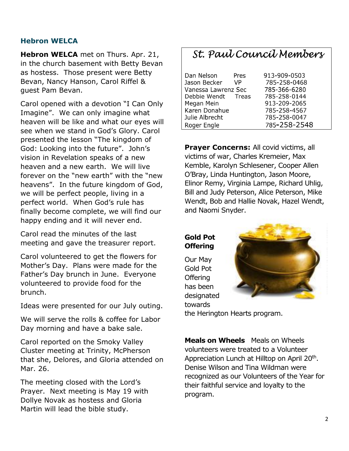#### **Hebron WELCA**

**Hebron WELCA** met on Thurs. Apr. 21, in the church basement with Betty Bevan as hostess. Those present were Betty Bevan, Nancy Hanson, Carol Riffel & guest Pam Bevan.

Carol opened with a devotion "I Can Only Imagine". We can only imagine what heaven will be like and what our eyes will see when we stand in God's Glory. Carol presented the lesson "The kingdom of God: Looking into the future". John's vision in Revelation speaks of a new heaven and a new earth. We will live forever on the "new earth" with the "new heavens". In the future kingdom of God, we will be perfect people, living in a perfect world. When God's rule has finally become complete, we will find our happy ending and it will never end.

Carol read the minutes of the last meeting and gave the treasurer report.

Carol volunteered to get the flowers for Mother's Day. Plans were made for the Father's Day brunch in June. Everyone volunteered to provide food for the brunch.

Ideas were presented for our July outing.

We will serve the rolls & coffee for Labor Day morning and have a bake sale.

Carol reported on the Smoky Valley Cluster meeting at Trinity, McPherson that she, Delores, and Gloria attended on Mar. 26.

The meeting closed with the Lord's Prayer. Next meeting is May 19 with Dollye Novak as hostess and Gloria Martin will lead the bible study.

#### St. Paul Council Members

| Dan Nelson          | Pres | 913-909-0503 |
|---------------------|------|--------------|
| Jason Becker        | VP   | 785-258-0468 |
| Vanessa Lawrenz Sec |      | 785-366-6280 |
| Debbie Wendt Treas  |      | 785-258-0144 |
| Megan Mein          |      | 913-209-2065 |
| Karen Donahue       |      | 785-258-4567 |
| Julie Albrecht      |      | 785-258-0047 |
| Roger Engle         |      | 785-258-2548 |

**Prayer Concerns: All covid victims, all** victims of war, Charles Kremeier, Max Kemble, Karolyn Schlesener, Cooper Allen O'Bray, Linda Huntington, Jason Moore, Elinor Remy, Virginia Lampe, Richard Uhlig, Bill and Judy Peterson, Alice Peterson, Mike Wendt, Bob and Hallie Novak, Hazel Wendt, and Naomi Snyder.

**Gold Pot Offering** 

Our May Gold Pot **Offering** has been designated towards



the Herington Hearts program.

**Meals on Wheels** Meals on Wheels volunteers were treated to a Volunteer Appreciation Lunch at Hilltop on April 20<sup>th</sup>. Denise Wilson and Tina Wildman were recognized as our Volunteers of the Year for their faithful service and loyalty to the program.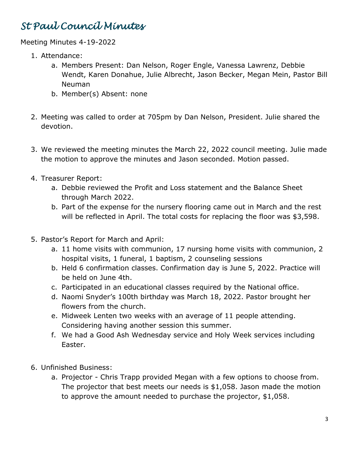## *St Paul Council Minutes*

Meeting Minutes 4-19-2022

- 1. Attendance:
	- a. Members Present: Dan Nelson, Roger Engle, Vanessa Lawrenz, Debbie Wendt, Karen Donahue, Julie Albrecht, Jason Becker, Megan Mein, Pastor Bill Neuman
	- b. Member(s) Absent: none
- 2. Meeting was called to order at 705pm by Dan Nelson, President. Julie shared the devotion.
- 3. We reviewed the meeting minutes the March 22, 2022 council meeting. Julie made the motion to approve the minutes and Jason seconded. Motion passed.
- 4. Treasurer Report:
	- a. Debbie reviewed the Profit and Loss statement and the Balance Sheet through March 2022.
	- b. Part of the expense for the nursery flooring came out in March and the rest will be reflected in April. The total costs for replacing the floor was \$3,598.
- 5. Pastor's Report for March and April:
	- a. 11 home visits with communion, 17 nursing home visits with communion, 2 hospital visits, 1 funeral, 1 baptism, 2 counseling sessions
	- b. Held 6 confirmation classes. Confirmation day is June 5, 2022. Practice will be held on June 4th.
	- c. Participated in an educational classes required by the National office.
	- d. Naomi Snyder's 100th birthday was March 18, 2022. Pastor brought her flowers from the church.
	- e. Midweek Lenten two weeks with an average of 11 people attending. Considering having another session this summer.
	- f. We had a Good Ash Wednesday service and Holy Week services including Easter.
- 6. Unfinished Business:
	- a. Projector Chris Trapp provided Megan with a few options to choose from. The projector that best meets our needs is \$1,058. Jason made the motion to approve the amount needed to purchase the projector, \$1,058.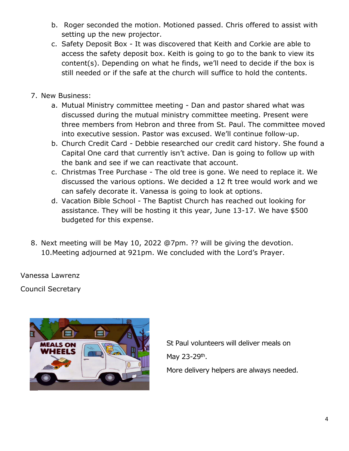- b. Roger seconded the motion. Motioned passed. Chris offered to assist with setting up the new projector.
- c. Safety Deposit Box It was discovered that Keith and Corkie are able to access the safety deposit box. Keith is going to go to the bank to view its content(s). Depending on what he finds, we'll need to decide if the box is still needed or if the safe at the church will suffice to hold the contents.
- 7. New Business:
	- a. Mutual Ministry committee meeting Dan and pastor shared what was discussed during the mutual ministry committee meeting. Present were three members from Hebron and three from St. Paul. The committee moved into executive session. Pastor was excused. We'll continue follow-up.
	- b. Church Credit Card Debbie researched our credit card history. She found a Capital One card that currently isn't active. Dan is going to follow up with the bank and see if we can reactivate that account.
	- c. Christmas Tree Purchase The old tree is gone. We need to replace it. We discussed the various options. We decided a 12 ft tree would work and we can safely decorate it. Vanessa is going to look at options.
	- d. Vacation Bible School The Baptist Church has reached out looking for assistance. They will be hosting it this year, June 13-17. We have \$500 budgeted for this expense.
- 8. Next meeting will be May 10, 2022 @7pm. ?? will be giving the devotion. 10.Meeting adjourned at 921pm. We concluded with the Lord's Prayer.

Vanessa Lawrenz

Council Secretary



 St Paul volunteers will deliver meals on May 23-29<sup>th</sup>. More delivery helpers are always needed.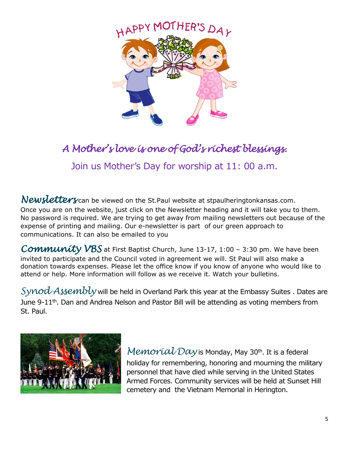

# *A Mother's love is one of God's richest blessings.*

Join us Mother's Day for worship at 11: 00 a.m.

*Newsletters* can be viewed on the St.Paul website at stpaulheringtonkansas.com. Once you are on the website, just click on the Newsletter heading and it will take you to them. No password is required. We are trying to get away from mailing newsletters out because of the expense of printing and mailing. Our e-newsletter is part of our green approach to communications. It can also be emailed to you

*Community VBS* at First Baptist Church, June 13-17, 1:00 – 3:30 pm. We have been invited to participate and the Council voted in agreement we will. St Paul will also make a donation towards expenses. Please let the office know if you know of anyone who would like to attend or help. More information will follow as we receive it. Watch your bulletins.

*Synod Assembly* will be held in Overland Park this year at the Embassy Suites . Dates are June 9-11<sup>th</sup>. Dan and Andrea Nelson and Pastor Bill will be attending as voting members from St. Paul.



*Memorial Day* is Monday, May 30<sup>th</sup>. It is a federal holiday for remembering, honoring and mourning the military personnel that have died while serving in the United States Armed Forces. Community services will be held at Sunset Hill cemetery and the Vietnam Memorial in Herington.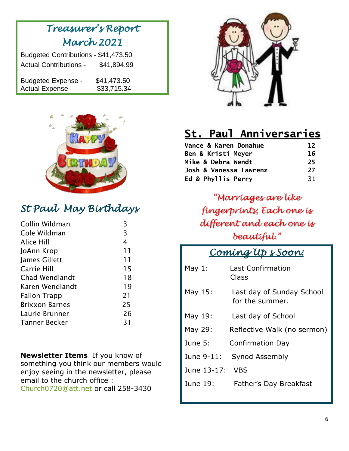# *Treasurer's Report March 2021*

| Budgeted Contributions - \$41,473.50 |             |  |  |  |  |
|--------------------------------------|-------------|--|--|--|--|
| <b>Actual Contributions -</b>        | \$41,894.99 |  |  |  |  |
|                                      |             |  |  |  |  |
| <b>Budgeted Expense -</b>            | \$41,473.50 |  |  |  |  |
| Actual Expense -                     | \$33,715.34 |  |  |  |  |



## *St Paul May Birthdays*

| Collin Wildman        | 3  |
|-----------------------|----|
| Cole Wildman          | 3  |
| Alice Hill            | 4  |
| JoAnn Krop            | 11 |
| James Gillett         | 11 |
| Carrie Hill           | 15 |
| <b>Chad Wendlandt</b> | 18 |
| Karen Wendlandt       | 19 |
| <b>Fallon Trapp</b>   | 21 |
| <b>Brixxon Barnes</b> | 25 |
| Laurie Brunner        | 26 |
| Tanner Becker         | 31 |

**Newsletter Items** If you know of something you think our members would enjoy seeing in the newsletter, please email to the church office : [Church0720@att.net](mailto:Church0720@att.net) or call 258-3430



# St. Paul Anniversaries

| Vance & Karen Donahue  | 12 |
|------------------------|----|
| Ben & Kristi Meyer     | 16 |
| Mike & Debra Wendt     | 25 |
| Josh & Vanessa Lawrenz | 27 |
| Ed & Phyllis Perry     | 31 |

*"Marriages are like fingerprints; Each one is different and each one is beautiful."*

### *Coming Up s Soon:*

| May $1$ :   | <b>Last Confirmation</b><br>Class            |
|-------------|----------------------------------------------|
| May 15:     | Last day of Sunday School<br>for the summer. |
| May 19:     | Last day of School                           |
| May 29:     | Reflective Walk (no sermon)                  |
| June 5:     | <b>Confirmation Day</b>                      |
| June 9-11:  | Synod Assembly                               |
| June 13-17: | <b>VBS</b>                                   |
| June 19:    | Father's Day Breakfast                       |
|             |                                              |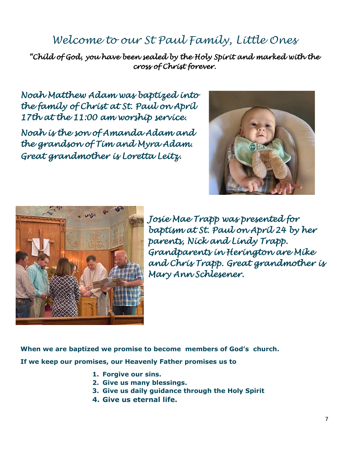## *Welcome to our St Paul Family, Little Ones*

*"Child of God, you have been sealed by the Holy Spirit and marked with the cross of Christ forever.* 

*Noah Matthew Adam was baptized into the family of Christ at St. Paul on April 17th at the 11:00 am worship service.* 

*Noah is the son of Amanda Adam and the grandson of Tim and Myra Adam. Great grandmother is Loretta Leitz.*





*Josie Mae Trapp was presented for baptism at St. Paul on April 24 by her parents, Nick and Lindy Trapp. Grandparents in Herington are Mike and Chris Trapp. Great grandmother is Mary Ann Schlesener.* 

**When we are baptized we promise to become members of God's church.**

**If we keep our promises, our Heavenly Father promises us to**

- **1. Forgive our sins.**
- **2. Give us many blessings.**
- **3. Give us daily guidance through the Holy Spirit**
- **4. Give us eternal life.**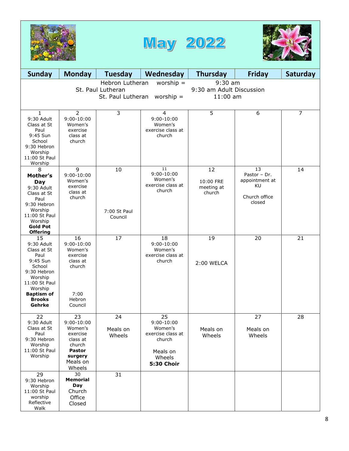





| <b>Sunday</b>                                                                                                                                                       | <b>Monday</b>                                                                                                       | <b>Tuesday</b>                | Wednesday                                                                                               | <b>Thursday</b>                         | <b>Friday</b>                                                         | Saturday       |
|---------------------------------------------------------------------------------------------------------------------------------------------------------------------|---------------------------------------------------------------------------------------------------------------------|-------------------------------|---------------------------------------------------------------------------------------------------------|-----------------------------------------|-----------------------------------------------------------------------|----------------|
| $9:30$ am<br>Hebron Lutheran<br>worship $=$<br>9:30 am Adult Discussion<br>St. Paul Lutheran<br>St. Paul Lutheran<br>worship $=$<br>$11:00$ am                      |                                                                                                                     |                               |                                                                                                         |                                         |                                                                       |                |
| $\mathbf{1}$<br>9:30 Adult<br>Class at St<br>Paul<br>9:45 Sun<br>School<br>9:30 Hebron<br>Worship<br>11:00 St Paul<br>Worship                                       | $\overline{2}$<br>$9:00 - 10:00$<br>Women's<br>exercise<br>class at<br>church                                       | $\overline{3}$                | $\overline{4}$<br>$9:00 - 10:00$<br>Women's<br>exercise class at<br>church                              | 5                                       | 6                                                                     | $\overline{7}$ |
| 8<br>Mother's<br>Day<br>9:30 Adult<br>Class at St<br>Paul<br>9:30 Hebron<br>Worship<br>11:00 St Paul<br>Worship<br><b>Gold Pot</b><br><b>Offering</b>               | 9<br>$9:00 - 10:00$<br>Women's<br>exercise<br>class at<br>church                                                    | 10<br>7:00 St Paul<br>Council | 11<br>$9:00 - 10:00$<br>Women's<br>exercise class at<br>church                                          | 12<br>10:00 FRE<br>meeting at<br>church | 13<br>Pastor - Dr.<br>appointment at<br>KU<br>Church office<br>closed | 14             |
| 15<br>9:30 Adult<br>Class at St<br>Paul<br>9:45 Sun<br>School<br>9:30 Hebron<br>Worship<br>11:00 St Paul<br>Worship<br><b>Baptism of</b><br><b>Brooks</b><br>Gehrke | 16<br>$9:00-10:00$<br>Women's<br>exercise<br>class at<br>church<br>7:00<br>Hebron<br>Council                        | 17                            | 18<br>$9:00 - 10:00$<br>Women's<br>exercise class at<br>church                                          | 19<br>2:00 WELCA                        | 20                                                                    | 21             |
| 22<br>9:30 Adult<br>Class at St<br>Paul<br>9:30 Hebron<br>Worship<br>11:00 St Paul<br>Worship                                                                       | 23<br>$9:00 - 10:00$<br>Women's<br>exercise<br>class at<br>church<br><b>Pastor</b><br>surgery<br>Meals on<br>Wheels | 24<br>Meals on<br>Wheels      | 25<br>$9:00-10:00$<br>Women's<br>exercise class at<br>church<br>Meals on<br>Wheels<br><b>5:30 Choir</b> | Meals on<br>Wheels                      | 27<br>Meals on<br>Wheels                                              | 28             |
| 29<br>9:30 Hebron<br>Worship<br>11:00 St Paul<br>worship<br>Reflective<br>Walk                                                                                      | $\overline{30}$<br><b>Memorial</b><br><b>Day</b><br>Church<br>Office<br>Closed                                      | 31                            |                                                                                                         |                                         |                                                                       |                |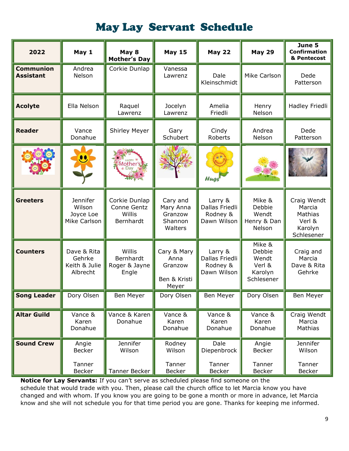## May Lay Servant Schedule

| 2022                                 | May 1                                              | May 8<br><b>Mother's Day</b>                        | <b>May 15</b>                                           | <b>May 22</b>                                        | <b>May 29</b>                                                | June 5<br><b>Confirmation</b><br>& Pentecost                        |
|--------------------------------------|----------------------------------------------------|-----------------------------------------------------|---------------------------------------------------------|------------------------------------------------------|--------------------------------------------------------------|---------------------------------------------------------------------|
| <b>Communion</b><br><b>Assistant</b> | Andrea<br>Nelson                                   | Corkie Dunlap                                       | Vanessa<br>Lawrenz                                      | Dale<br>Kleinschmidt                                 | Mike Carlson                                                 | Dede<br>Patterson                                                   |
| <b>Acolyte</b>                       | Ella Nelson                                        | Raquel<br>Lawrenz                                   | Jocelyn<br>Lawrenz                                      | Amelia<br>Friedli                                    | Henry<br>Nelson                                              | Hadley Friedli                                                      |
| <b>Reader</b>                        | Vance<br>Donahue                                   | <b>Shirley Meyer</b>                                | Gary<br>Schubert                                        | Cindy<br>Roberts                                     | Andrea<br>Nelson                                             | Dede<br>Patterson                                                   |
|                                      |                                                    | Mother                                              |                                                         | Hugs                                                 |                                                              |                                                                     |
| <b>Greeters</b>                      | Jennifer<br>Wilson<br>Joyce Loe<br>Mike Carlson    | Corkie Dunlap<br>Conne Gentz<br>Willis<br>Bernhardt | Cary and<br>Mary Anna<br>Granzow<br>Shannon<br>Walters  | Larry &<br>Dallas Friedli<br>Rodney &<br>Dawn Wilson | Mike &<br>Debbie<br>Wendt<br>Henry & Dan<br>Nelson           | Craig Wendt<br>Marcia<br>Mathias<br>Verl &<br>Karolyn<br>Schlesener |
| <b>Counters</b>                      | Dave & Rita<br>Gehrke<br>Keith & Julie<br>Albrecht | Willis<br>Bernhardt<br>Roger & Jayne<br>Engle       | Cary & Mary<br>Anna<br>Granzow<br>Ben & Kristi<br>Meyer | Larry &<br>Dallas Friedli<br>Rodney &<br>Dawn Wilson | Mike &<br>Debbie<br>Wendt<br>Verl &<br>Karolyn<br>Schlesener | Craig and<br>Marcia<br>Dave & Rita<br>Gehrke                        |
| Song Leader                          | Dory Olsen                                         | Ben Meyer                                           | Dory Olsen                                              | Ben Meyer                                            | Dory Olsen                                                   | Ben Meyer                                                           |
| <b>Altar Guild</b>                   | Vance &<br>Karen<br>Donahue                        | Vance & Karen<br>Donahue                            | Vance &<br>Karen<br>Donahue                             | Vance &<br>Karen<br>Donahue                          | Vance &<br>Karen<br>Donahue                                  | Craig Wendt<br>Marcia<br>Mathias                                    |
| <b>Sound Crew</b>                    | Angie<br><b>Becker</b>                             | Jennifer<br>Wilson                                  | Rodney<br>Wilson                                        | Dale<br>Diepenbrock                                  | Angie<br>Becker                                              | Jennifer<br>Wilson                                                  |
|                                      | Tanner<br><b>Becker</b>                            | Tanner Becker                                       | Tanner<br><b>Becker</b>                                 | Tanner<br><b>Becker</b>                              | Tanner<br><b>Becker</b>                                      | Tanner<br><b>Becker</b>                                             |

**Notice for Lay Servants:** If you can't serve as scheduled please find someone on the schedule that would trade with you. Then, please call the church office to let Marcia know you have changed and with whom. If you know you are going to be gone a month or more in advance, let Marcia know and she will not schedule you for that time period you are gone. Thanks for keeping me informed.